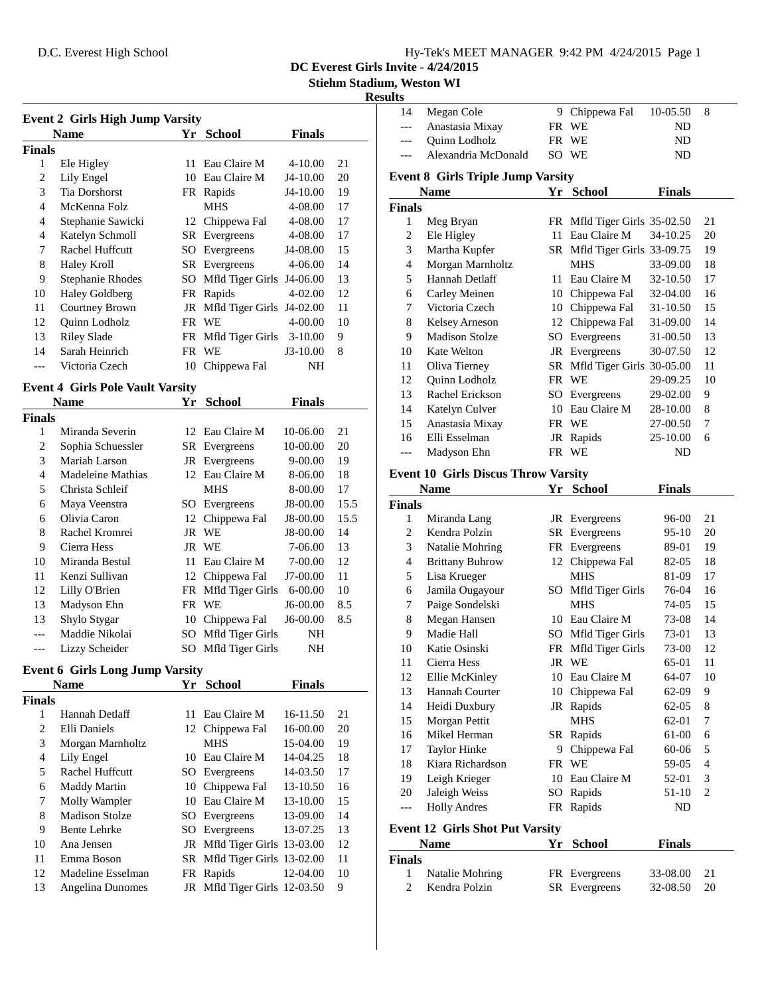| Hy-Tek's MEET MANAGER 9:42 PM 4/24/2015 Page 1 |  |  |  |
|------------------------------------------------|--|--|--|
|------------------------------------------------|--|--|--|

**DC Everest Girls Invite - 4/24/2015**

**Stiehm Stadium, Weston WI**

## **Results**

| <b>Event 2 Girls High Jump Varsity</b> |                       |     |                              |             |    |  |
|----------------------------------------|-----------------------|-----|------------------------------|-------------|----|--|
|                                        | <b>Name</b>           | Yr. | <b>School</b>                | Finals      |    |  |
| Finals                                 |                       |     |                              |             |    |  |
| 1                                      | Ele Higley            | 11. | Eau Claire M                 | $4 - 10.00$ | 21 |  |
| 2                                      | Lily Engel            | 10  | Eau Claire M                 | J4-10.00    | 20 |  |
| 3                                      | <b>Tia Dorshorst</b>  |     | FR Rapids                    | J4-10.00    | 19 |  |
| 4                                      | McKenna Folz          |     | <b>MHS</b>                   | 4-08.00     | 17 |  |
| 4                                      | Stephanie Sawicki     |     | 12 Chippewa Fal              | 4-08.00     | 17 |  |
| 4                                      | Katelyn Schmoll       |     | <b>SR</b> Evergreens         | 4-08.00     | 17 |  |
| 7                                      | Rachel Huffcutt       | SO. | Evergreens                   | J4-08.00    | 15 |  |
| 8                                      | Haley Kroll           |     | SR Evergreens                | $4 - 06.00$ | 14 |  |
| 9                                      | Stephanie Rhodes      |     | SO Mfld Tiger Girls J4-06.00 |             | 13 |  |
| 10                                     | <b>Haley Goldberg</b> |     | FR Rapids                    | $4 - 02.00$ | 12 |  |
| 11                                     | Courtney Brown        |     | JR Mfld Tiger Girls J4-02.00 |             | 11 |  |
| 12                                     | Quinn Lodholz         |     | FR WE                        | 4-00.00     | 10 |  |
| 13                                     | <b>Riley Slade</b>    |     | FR Mfld Tiger Girls          | $3-10.00$   | 9  |  |
| 14                                     | Sarah Heinrich        |     | FR WE                        | $J3-10.00$  | 8  |  |
|                                        | Victoria Czech        | 10  | Chippewa Fal                 | NΗ          |    |  |

## **Event 4 Girls Pole Vault Varsity**

| Name           |                   | Yr  | School               | Finals      |      |
|----------------|-------------------|-----|----------------------|-------------|------|
| Finals         |                   |     |                      |             |      |
| 1              | Miranda Severin   |     | 12 Eau Claire M      | 10-06.00    | 21   |
| 2              | Sophia Schuessler |     | <b>SR</b> Evergreens | 10-00.00    | 20   |
| 3              | Mariah Larson     |     | JR Evergreens        | $9 - 00.00$ | 19   |
| $\overline{4}$ | Madeleine Mathias | 12. | Eau Claire M         | 8-06.00     | 18   |
| 5              | Christa Schleif   |     | <b>MHS</b>           | 8-00.00     | 17   |
| 6              | Maya Veenstra     |     | SO Evergreens        | J8-00.00    | 15.5 |
| 6              | Olivia Caron      |     | 12 Chippewa Fal      | J8-00.00    | 15.5 |
| 8              | Rachel Kromrei    |     | JR WE                | J8-00.00    | 14   |
| 9              | Cierra Hess       |     | JR WE                | 7-06.00     | 13   |
| 10             | Miranda Bestul    | 11. | Eau Claire M         | 7-00.00     | 12   |
| 11             | Kenzi Sullivan    |     | 12 Chippewa Fal      | J7-00.00    | 11   |
| 12             | Lilly O'Brien     |     | FR Mfld Tiger Girls  | $6 - 00.00$ | 10   |
| 13             | Madyson Ehn       |     | FR WE                | J6-00.00    | 8.5  |
| 13             | Shylo Stygar      | 10  | Chippewa Fal         | J6-00.00    | 8.5  |
|                | Maddie Nikolai    |     | SO Mfld Tiger Girls  | NΗ          |      |
| ---            | Lizzy Scheider    |     | SO Mfld Tiger Girls  | NΗ          |      |

# **Event 6 Girls Long Jump Varsity**

|               | <b>Name</b>       | Yr | <b>School</b>                | <b>Finals</b> |    |
|---------------|-------------------|----|------------------------------|---------------|----|
| <b>Finals</b> |                   |    |                              |               |    |
|               | Hannah Detlaff    |    | 11 Eau Claire M              | 16-11.50      | 21 |
| 2             | Elli Daniels      |    | 12 Chippewa Fal              | 16-00.00      | 20 |
| 3             | Morgan Marnholtz  |    | <b>MHS</b>                   | $15-04.00$    | 19 |
| 4             | Lily Engel        | 10 | Eau Claire M                 | 14-04.25      | 18 |
| 5             | Rachel Huffcutt   |    | SO Evergreens                | 14-03.50      | 17 |
| 6             | Maddy Martin      |    | 10 Chippewa Fal              | $13 - 10.50$  | 16 |
| 7             | Molly Wampler     |    | 10 Eau Claire M              | $13 - 10.00$  | 15 |
| 8             | Madison Stolze    |    | SO Evergreens                | 13-09.00      | 14 |
| 9             | Bente Lehrke      |    | SO Evergreens                | 13-07.25      | 13 |
| 10            | Ana Jensen        |    | JR Mfld Tiger Girls 13-03.00 |               | 12 |
| 11            | Emma Boson        |    | SR Mfld Tiger Girls 13-02.00 |               | 11 |
| 12            | Madeline Esselman | FR | Rapids                       | 12-04.00      | 10 |
| 13            | Angelina Dunomes  |    | JR Mfld Tiger Girls 12-03.50 |               | 9  |
|               |                   |    |                              |               |    |

| 14                 | Megan Cole                                 |     | 9 Chippewa Fal               | 10-05.50       | 8              |
|--------------------|--------------------------------------------|-----|------------------------------|----------------|----------------|
| ---                | Anastasia Mixay                            | FR  | WE                           | ND             |                |
| ---                | Quinn Lodholz                              | FR  | WE                           | ND             |                |
| ---                | Alexandria McDonald                        |     | SO WE                        | ND             |                |
|                    | <b>Event 8 Girls Triple Jump Varsity</b>   |     |                              |                |                |
|                    | <b>Name</b>                                |     | Yr School                    | <b>Finals</b>  |                |
| <b>Finals</b>      |                                            |     |                              |                |                |
| 1                  | Meg Bryan                                  |     | FR Mfld Tiger Girls 35-02.50 |                | 21             |
| 2                  | Ele Higley                                 | 11  | Eau Claire M                 | 34-10.25       | 20             |
| 3                  | Martha Kupfer                              |     | SR Mfld Tiger Girls 33-09.75 |                | 19             |
| 4                  | Morgan Marnholtz                           |     | MHS                          | 33-09.00       | 18             |
| 5                  | Hannah Detlaff                             | 11  | Eau Claire M                 | 32-10.50       | 17             |
| 6                  | Carley Meinen                              |     | 10 Chippewa Fal              | 32-04.00       | 16             |
| 7                  | Victoria Czech                             |     | 10 Chippewa Fal              | 31-10.50       | 15             |
| 8                  | Kelsey Arneson                             |     | 12 Chippewa Fal              | 31-09.00       | 14             |
| 9                  | <b>Madison Stolze</b>                      |     | SO Evergreens                | 31-00.50       | 13             |
| 10                 | <b>Kate Welton</b>                         |     | JR Evergreens                | 30-07.50       | 12             |
| 11                 | Oliva Tierney                              | SR  | Mfld Tiger Girls 30-05.00    |                | 11             |
| 12                 | Quinn Lodholz                              | FR  | WE                           | 29-09.25       | 10             |
| 13                 | Rachel Erickson                            | SO. | Evergreens                   | 29-02.00       | 9              |
| 14                 | Katelyn Culver                             | 10  | Eau Claire M                 | 28-10.00       | 8              |
| 15                 | Anastasia Mixay                            | FR  | <b>WE</b>                    | 27-00.50       | 7              |
| 16                 | Elli Esselman                              | JR  | Rapids                       | 25-10.00       | 6              |
| $---$              | Madyson Ehn                                | FR  | WE                           | ND             |                |
|                    | <b>Event 10 Girls Discus Throw Varsity</b> |     |                              |                |                |
|                    | <b>Name</b>                                | Yr  | <b>School</b>                | <b>Finals</b>  |                |
| <b>Finals</b>      |                                            |     |                              |                |                |
| 1                  | Miranda Lang                               |     | JR Evergreens                | 96-00          | 21             |
| 2                  | Kendra Polzin                              |     | SR Evergreens                | 95-10          | 20             |
| 3                  | Natalie Mohring                            |     | FR Evergreens                | 89-01          | 19             |
| 4                  | <b>Brittany Buhrow</b>                     |     | 12 Chippewa Fal              | 82-05          | 18             |
| 5                  | Lisa Krueger                               |     | <b>MHS</b>                   | 81-09          | 17             |
| 6                  | Jamila Ougayour                            | SO. | Mfld Tiger Girls             | 76-04          | 16             |
| 7                  | Paige Sondelski                            |     | <b>MHS</b>                   | 74-05          | 15             |
| 8                  | Megan Hansen                               |     | 10 Eau Claire M              | 73-08          | 14             |
| 9                  | Madie Hall                                 |     |                              |                |                |
|                    |                                            |     |                              |                |                |
| 10                 | Katie Osinski                              | SO  | Mfld Tiger Girls             | 73-01<br>73-00 | 13<br>12       |
|                    |                                            |     | FR Mfld Tiger Girls          |                |                |
| 11<br>12           | Cierra Hess                                |     | JR WE                        | 65-01<br>64-07 | 11<br>10       |
| 13                 | Ellie McKinley<br>Hannah Courter           |     | 10 Eau Claire M              | 62-09          | 9              |
| 14                 | Heidi Duxbury                              |     | 10 Chippewa Fal<br>JR Rapids | $62 - 05$      | 8              |
| 15                 | Morgan Pettit                              |     | <b>MHS</b>                   | 62-01          | 7              |
| 16                 | Mikel Herman                               |     | SR Rapids                    | 61-00          | 6              |
| 17                 | Taylor Hinke                               | 9.  | Chippewa Fal                 | 60-06          | 5              |
| 18                 | Kiara Richardson                           |     | FR WE                        | 59-05          | 4              |
| 19                 | Leigh Krieger                              |     | 10 Eau Claire M              | 52-01          | 3              |
| 20                 | Jaleigh Weiss                              | SO  | Rapids                       | $51-10$        | $\overline{c}$ |
| $---$              | <b>Holly Andres</b>                        | FR  | Rapids                       | ND             |                |
|                    |                                            |     |                              |                |                |
|                    | <b>Event 12 Girls Shot Put Varsity</b>     |     |                              |                |                |
|                    | Name                                       | Yr  | <b>School</b>                | <b>Finals</b>  |                |
| <b>Finals</b><br>1 | Natalie Mohring                            |     | FR Evergreens                | 33-08.00       | 21             |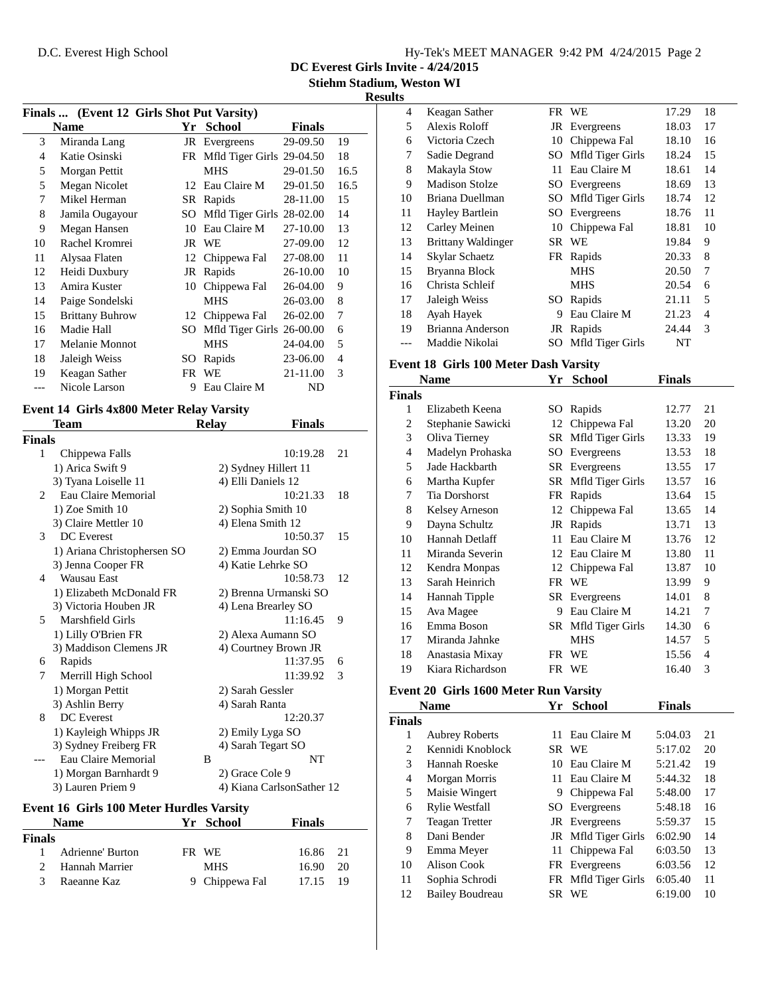|  | Hy-Tek's MEET MANAGER 9:42 PM 4/24/2015 Page 2 |  |  |
|--|------------------------------------------------|--|--|
|  |                                                |  |  |

**DC Everest Girls Invite - 4/24/2015**

**Stiehm Stadium, Weston WI**

#### **Results**

| Finals  (Event 12 Girls Shot Put Varsity) |                        |     |                              |          |      |  |  |
|-------------------------------------------|------------------------|-----|------------------------------|----------|------|--|--|
|                                           | <b>Name</b>            | Yr  | <b>School</b>                | Finals   |      |  |  |
| 3                                         | Miranda Lang           |     | JR Evergreens                | 29-09.50 | 19   |  |  |
| 4                                         | Katie Osinski          |     | FR Mfld Tiger Girls 29-04.50 |          | 18   |  |  |
| 5                                         | Morgan Pettit          |     | MHS                          | 29-01.50 | 16.5 |  |  |
| 5                                         | Megan Nicolet          | 12  | Eau Claire M                 | 29-01.50 | 16.5 |  |  |
| 7                                         | Mikel Herman           | SR  | Rapids                       | 28-11.00 | 15   |  |  |
| 8                                         | Jamila Ougayour        | SO. | Mfld Tiger Girls 28-02.00    |          | 14   |  |  |
| 9                                         | Megan Hansen           | 10  | Eau Claire M                 | 27-10.00 | 13   |  |  |
| 10                                        | Rachel Kromrei         |     | JR WE                        | 27-09.00 | 12   |  |  |
| 11                                        | Alysaa Flaten          | 12  | Chippewa Fal                 | 27-08.00 | 11   |  |  |
| 12                                        | Heidi Duxbury          | JR  | Rapids                       | 26-10.00 | 10   |  |  |
| 13                                        | Amira Kuster           | 10  | Chippewa Fal                 | 26-04.00 | 9    |  |  |
| 14                                        | Paige Sondelski        |     | <b>MHS</b>                   | 26-03.00 | 8    |  |  |
| 15                                        | <b>Brittany Buhrow</b> | 12  | Chippewa Fal                 | 26-02.00 | 7    |  |  |
| 16                                        | Madie Hall             | SO. | Mfld Tiger Girls 26-00.00    |          | 6    |  |  |
| 17                                        | Melanie Monnot         |     | <b>MHS</b>                   | 24-04.00 | 5    |  |  |
| 18                                        | Jaleigh Weiss          | SO  | Rapids                       | 23-06.00 | 4    |  |  |
| 19                                        | Keagan Sather          | FR  | WE                           | 21-11.00 | 3    |  |  |
|                                           | Nicole Larson          | 9   | Eau Claire M                 | ND       |      |  |  |

# **Event 14 Girls 4x800 Meter Relay Varsity**

|                | Team                                            | <b>Relay</b> | <b>Finals</b>             |
|----------------|-------------------------------------------------|--------------|---------------------------|
| Finals         |                                                 |              |                           |
| 1              | Chippewa Falls                                  |              | 10:19.28<br>21            |
|                | 1) Arica Swift 9                                |              | 2) Sydney Hillert 11      |
|                | 3) Tyana Loiselle 11                            |              | 4) Elli Daniels 12        |
| $\overline{c}$ | Eau Claire Memorial                             |              | 10:21.33<br>18            |
|                | 1) Zoe Smith 10                                 |              | 2) Sophia Smith 10        |
|                | 3) Claire Mettler 10                            |              | 4) Elena Smith 12         |
| 3              | <b>DC</b> Everest                               |              | 10:50.37<br>15            |
|                | 1) Ariana Christophersen SO                     |              | 2) Emma Jourdan SO        |
|                | 3) Jenna Cooper FR                              |              | 4) Katie Lehrke SO        |
| 4              | <b>Wausau East</b>                              |              | 10:58.73<br>12            |
|                | 1) Elizabeth McDonald FR                        |              | 2) Brenna Urmanski SO     |
|                | 3) Victoria Houben JR                           |              | 4) Lena Brearley SO       |
| 5              | Marshfield Girls                                |              | 11:16.45<br>9             |
|                | 1) Lilly O'Brien FR                             |              | 2) Alexa Aumann SO        |
|                | 3) Maddison Clemens JR                          |              | 4) Courtney Brown JR      |
| 6              | Rapids                                          |              | 11:37.95<br>6             |
| 7              | Merrill High School                             |              | 11:39.92<br>3             |
|                | 1) Morgan Pettit                                |              | 2) Sarah Gessler          |
|                | 3) Ashlin Berry                                 |              | 4) Sarah Ranta            |
| 8              | <b>DC</b> Everest                               |              | 12:20.37                  |
|                | 1) Kayleigh Whipps JR                           |              | 2) Emily Lyga SO          |
|                | 3) Sydney Freiberg FR                           |              | 4) Sarah Tegart SO        |
|                | Eau Claire Memorial                             | B            | NT                        |
|                | 1) Morgan Barnhardt 9                           |              | 2) Grace Cole 9           |
|                | 3) Lauren Priem 9                               |              | 4) Kiana CarlsonSather 12 |
|                | <b>Event 16 Girls 100 Meter Hurdles Varsity</b> |              |                           |

## **Name Yr School Finals Finals** Adrienne' Burton FR WE 16.86 21 Hannah Marrier MHS 16.90 20 3 Raeanne Kaz 9 Chippewa Fal 17.15 19

| 4  | Keagan Sather             |     | FR WE               | 17.29 | 18 |  |
|----|---------------------------|-----|---------------------|-------|----|--|
| 5  | Alexis Roloff             |     | JR Evergreens       | 18.03 | 17 |  |
| 6  | Victoria Czech            | 10  | Chippewa Fal        | 18.10 | 16 |  |
| 7  | Sadie Degrand             | SO. | Mfld Tiger Girls    | 18.24 | 15 |  |
| 8  | Makayla Stow              | 11  | Eau Claire M        | 18.61 | 14 |  |
| 9  | Madison Stolze            |     | SO Evergreens       | 18.69 | 13 |  |
| 10 | Briana Duellman           |     | SO Mfld Tiger Girls | 18.74 | 12 |  |
| 11 | Hayley Bartlein           |     | SO Evergreens       | 18.76 | 11 |  |
| 12 | Carley Meinen             | 10  | Chippewa Fal        | 18.81 | 10 |  |
| 13 | <b>Brittany Waldinger</b> | SR. | <b>WE</b>           | 19.84 | 9  |  |
| 14 | Skylar Schaetz            |     | FR Rapids           | 20.33 | 8  |  |
| 15 | Bryanna Block             |     | MHS                 | 20.50 | 7  |  |
| 16 | Christa Schleif           |     | <b>MHS</b>          | 20.54 | 6  |  |
| 17 | Jaleigh Weiss             | SO  | Rapids              | 21.11 | 5  |  |
| 18 | Ayah Hayek                | 9   | Eau Claire M        | 21.23 | 4  |  |
| 19 | Brianna Anderson          |     | JR Rapids           | 24.44 | 3  |  |
|    | Maddie Nikolai            | SO. | Mfld Tiger Girls    | NT    |    |  |

#### **Event 18 Girls 100 Meter Dash Varsity**

|               | Name<br>Yr<br><b>School</b> |    | Finals               |       |    |
|---------------|-----------------------------|----|----------------------|-------|----|
| <b>Finals</b> |                             |    |                      |       |    |
| 1             | Elizabeth Keena             | SO | Rapids               | 12.77 | 21 |
| 2             | Stephanie Sawicki           | 12 | Chippewa Fal         | 13.20 | 20 |
| 3             | Oliva Tierney               | SR | Mfld Tiger Girls     | 13.33 | 19 |
| 4             | Madelyn Prohaska            | SO | Evergreens           | 13.53 | 18 |
| 5             | Jade Hackbarth              |    | <b>SR</b> Evergreens | 13.55 | 17 |
| 6             | Martha Kupfer               |    | SR Mfld Tiger Girls  | 13.57 | 16 |
| 7             | <b>Tia Dorshorst</b>        | FR | Rapids               | 13.64 | 15 |
| 8             | Kelsey Arneson              | 12 | Chippewa Fal         | 13.65 | 14 |
| 9             | Dayna Schultz               | JR | Rapids               | 13.71 | 13 |
| 10            | Hannah Detlaff              | 11 | Eau Claire M         | 13.76 | 12 |
| 11            | Miranda Severin             | 12 | Eau Claire M         | 13.80 | 11 |
| 12            | Kendra Monpas               | 12 | Chippewa Fal         | 13.87 | 10 |
| 13            | Sarah Heinrich              | FR | <b>WE</b>            | 13.99 | 9  |
| 14            | Hannah Tipple               | SR | Evergreens           | 14.01 | 8  |
| 15            | Ava Magee                   | 9  | Eau Claire M         | 14.21 | 7  |
| 16            | Emma Boson                  | SR | Mfld Tiger Girls     | 14.30 | 6  |
| 17            | Miranda Jahnke              |    | <b>MHS</b>           | 14.57 | 5  |
| 18            | Anastasia Mixay             | FR | WE                   | 15.56 | 4  |
| 19            | Kiara Richardson            |    | FR WE                | 16.40 | 3  |

#### **Event 20 Girls 1600 Meter Run Varsity**

|                | <b>Name</b>            | Yr  | School              | <b>Finals</b> |    |
|----------------|------------------------|-----|---------------------|---------------|----|
| <b>Finals</b>  |                        |     |                     |               |    |
| 1              | <b>Aubrey Roberts</b>  | 11  | Eau Claire M        | 5:04.03       | 21 |
| 2              | Kennidi Knoblock       |     | SR WE               | 5:17.02       | 20 |
| 3              | Hannah Roeske          | 10  | Eau Claire M        | 5:21.42       | 19 |
| $\overline{4}$ | Morgan Morris          | 11. | Eau Claire M        | 5:44.32       | 18 |
| 5              | Maisie Wingert         | 9   | Chippewa Fal        | 5:48.00       | 17 |
| 6              | <b>Rylie Westfall</b>  |     | SO Evergreens       | 5:48.18       | 16 |
| 7              | <b>Teagan Tretter</b>  |     | JR Evergreens       | 5:59.37       | 15 |
| 8              | Dani Bender            |     | JR Mfld Tiger Girls | 6:02.90       | 14 |
| 9              | Emma Meyer             | 11  | Chippewa Fal        | 6:03.50       | 13 |
| 10             | Alison Cook            |     | FR Evergreens       | 6:03.56       | 12 |
| 11             | Sophia Schrodi         |     | FR Mfld Tiger Girls | 6:05.40       | 11 |
| 12             | <b>Bailey Boudreau</b> | SR. | <b>WE</b>           | 6:19.00       | 10 |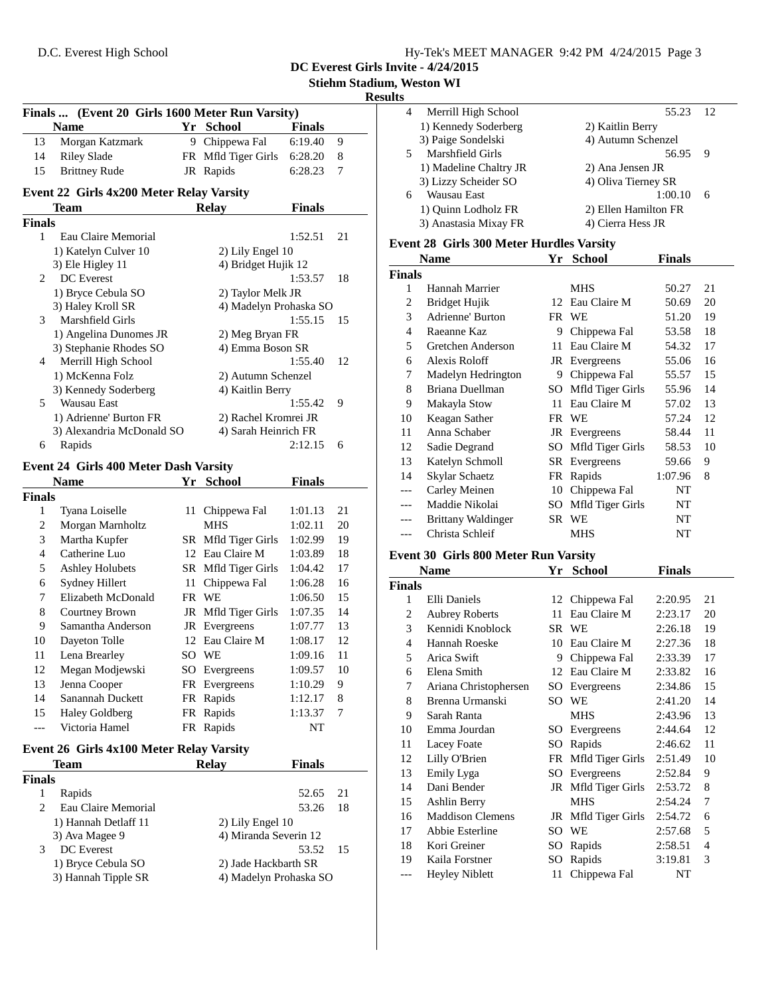| Hy-Tek's MEET MANAGER 9:42 PM 4/24/2015 Page 3 |  |  |
|------------------------------------------------|--|--|
|                                                |  |  |

**DC Everest Girls Invite - 4/24/2015**

**Stiehm Stadium, Weston WI**

#### **Results**

|                             | Finals  (Event 20 Girls 1600 Meter Run Varsity) |   |                        |               |    |
|-----------------------------|-------------------------------------------------|---|------------------------|---------------|----|
|                             | <b>Name</b>                                     |   | Yr School              | <b>Finals</b> |    |
| 13                          | Morgan Katzmark                                 | 9 | Chippewa Fal           | 6:19.40       | 9  |
| 14                          | Riley Slade                                     |   | FR Mfld Tiger Girls    | 6:28.20       | 8  |
| 15                          | <b>Brittney Rude</b>                            |   | JR Rapids              | 6:28.23       | 7  |
|                             | <b>Event 22 Girls 4x200 Meter Relay Varsity</b> |   |                        |               |    |
|                             | <b>Team</b>                                     |   | <b>Relay</b>           | <b>Finals</b> |    |
| <b>Finals</b>               |                                                 |   |                        |               |    |
| 1                           | Eau Claire Memorial                             |   |                        | 1:52.51       | 21 |
|                             | 1) Katelyn Culver 10                            |   | 2) Lily Engel 10       |               |    |
|                             | 3) Ele Higley 11                                |   | 4) Bridget Hujik 12    |               |    |
| $\mathcal{D}_{\mathcal{L}}$ | <b>DC</b> Everest                               |   |                        | 1:53.57       | 18 |
|                             | 1) Bryce Cebula SO                              |   | 2) Taylor Melk JR      |               |    |
|                             | 3) Haley Kroll SR                               |   | 4) Madelyn Prohaska SO |               |    |
| 3                           | Marshfield Girls                                |   |                        | 1:55.15       | 15 |
|                             | 1) Angelina Dunomes JR                          |   | 2) Meg Bryan FR        |               |    |
|                             | 3) Stephanie Rhodes SO                          |   | 4) Emma Boson SR       |               |    |

| 1) Angelina Dunomes JR    | 2) Meg Bryan FR      |     |
|---------------------------|----------------------|-----|
| 3) Stephanie Rhodes SO    | 4) Emma Boson SR     |     |
| Merrill High School       | 1:55.40              | 12  |
| 1) McKenna Folz           | 2) Autumn Schenzel   |     |
| 3) Kennedy Soderberg      | 4) Kaitlin Berry     |     |
| Wausau East               | 1:55.42              | - 9 |
| 1) Adrienne' Burton FR    | 2) Rachel Kromrei JR |     |
| 3) Alexandria McDonald SO | 4) Sarah Heinrich FR |     |
| Rapids                    | 2:12.15              |     |
|                           |                      |     |

#### **Event 24 Girls 400 Meter Dash Varsity**

|                | Name                   | Yr  | <b>School</b>       | <b>Finals</b> |    |
|----------------|------------------------|-----|---------------------|---------------|----|
| <b>Finals</b>  |                        |     |                     |               |    |
| 1              | Tyana Loiselle         | 11  | Chippewa Fal        | 1:01.13       | 21 |
| 2              | Morgan Marnholtz       |     | <b>MHS</b>          | 1:02.11       | 20 |
| 3              | Martha Kupfer          |     | SR Mfld Tiger Girls | 1:02.99       | 19 |
| $\overline{4}$ | Catherine Luo          |     | 12 Eau Claire M     | 1:03.89       | 18 |
| 5              | <b>Ashley Holubets</b> |     | SR Mfld Tiger Girls | 1:04.42       | 17 |
| 6              | Sydney Hillert         | 11  | Chippewa Fal        | 1:06.28       | 16 |
| 7              | Elizabeth McDonald     | FR. | <b>WE</b>           | 1:06.50       | 15 |
| 8              | Courtney Brown         |     | JR Mfld Tiger Girls | 1:07.35       | 14 |
| 9              | Samantha Anderson      |     | JR Evergreens       | 1:07.77       | 13 |
| 10             | Dayeton Tolle          |     | 12 Eau Claire M     | 1:08.17       | 12 |
| 11             | Lena Brearley          | SO. | <b>WE</b>           | 1:09.16       | 11 |
| 12             | Megan Modjewski        | SO. | Evergreens          | 1:09.57       | 10 |
| 13             | Jenna Cooper           |     | FR Evergreens       | 1:10.29       | 9  |
| 14             | Sanannah Duckett       | FR  | Rapids              | 1:12.17       | 8  |
| 15             | <b>Haley Goldberg</b>  | FR  | Rapids              | 1:13.37       | 7  |
| ---            | Victoria Hamel         | FR  | Rapids              | NT            |    |

## **Event 26 Girls 4x100 Meter Relay Varsity**

|               | Team                 | Relav            | <b>Finals</b>          |  |
|---------------|----------------------|------------------|------------------------|--|
| Finals        |                      |                  |                        |  |
|               | Rapids               |                  | 52.65<br>-21           |  |
| $\mathcal{L}$ | Eau Claire Memorial  |                  | 18<br>53.26            |  |
|               | 1) Hannah Detlaff 11 | 2) Lily Engel 10 |                        |  |
|               | 3) Ava Magee 9       |                  | 4) Miranda Severin 12  |  |
| 3             | DC Everest           |                  | 53.52<br>-15           |  |
|               | 1) Bryce Cebula SO   |                  | 2) Jade Hackbarth SR   |  |
|               | 3) Hannah Tipple SR  |                  | 4) Madelyn Prohaska SO |  |

| 4 | Merrill High School    | 55.23                | 12  |
|---|------------------------|----------------------|-----|
|   | 1) Kennedy Soderberg   | 2) Kaitlin Berry     |     |
|   | 3) Paige Sondelski     | 4) Autumn Schenzel   |     |
|   | Marshfield Girls       | 56.95                | - 9 |
|   | 1) Madeline Chaltry JR | 2) Ana Jensen JR     |     |
|   | 3) Lizzy Scheider SO   | 4) Oliva Tierney SR  |     |
| 6 | Wausau East            | 1:00.10              | 6   |
|   | 1) Ouinn Lodholz FR    | 2) Ellen Hamilton FR |     |
|   | 3) Anastasia Mixay FR  | 4) Cierra Hess JR    |     |
|   |                        |                      |     |

## **Event 28 Girls 300 Meter Hurdles Varsity**

|                | <b>Name</b>               | Yr  | <b>School</b>        | Finals  |    |
|----------------|---------------------------|-----|----------------------|---------|----|
| <b>Finals</b>  |                           |     |                      |         |    |
| 1              | Hannah Marrier            |     | <b>MHS</b>           | 50.27   | 21 |
| $\overline{c}$ | Bridget Hujik             | 12  | Eau Claire M         | 50.69   | 20 |
| 3              | Adrienne' Burton          | FR. | WE                   | 51.20   | 19 |
| 4              | Raeanne Kaz               | 9   | Chippewa Fal         | 53.58   | 18 |
| 5              | Gretchen Anderson         | 11  | Eau Claire M         | 54.32   | 17 |
| 6              | Alexis Roloff             |     | JR Evergreens        | 55.06   | 16 |
| 7              | Madelyn Hedrington        | 9   | Chippewa Fal         | 55.57   | 15 |
| 8              | Briana Duellman           | SO  | Mfld Tiger Girls     | 55.96   | 14 |
| 9              | Makayla Stow              | 11  | Eau Claire M         | 57.02   | 13 |
| 10             | Keagan Sather             |     | FR WE                | 57.24   | 12 |
| 11             | Anna Schaber              |     | JR Evergreens        | 58.44   | 11 |
| 12             | Sadie Degrand             | SO. | Mfld Tiger Girls     | 58.53   | 10 |
| 13             | Katelyn Schmoll           |     | <b>SR</b> Evergreens | 59.66   | 9  |
| 14             | Skylar Schaetz            | FR  | Rapids               | 1:07.96 | 8  |
| ---            | Carley Meinen             | 10  | Chippewa Fal         | NT      |    |
|                | Maddie Nikolai            | SO  | Mfld Tiger Girls     | NT      |    |
|                | <b>Brittany Waldinger</b> |     | SR WE                | NT      |    |
|                | Christa Schleif           |     | <b>MHS</b>           | NT      |    |
|                |                           |     |                      |         |    |

## **Event 30 Girls 800 Meter Run Varsity**

|               | <b>Name</b>             | Yr  | <b>School</b>       | <b>Finals</b> |                |
|---------------|-------------------------|-----|---------------------|---------------|----------------|
| <b>Finals</b> |                         |     |                     |               |                |
| 1             | Elli Daniels            |     | 12 Chippewa Fal     | 2:20.95       | 21             |
| 2             | <b>Aubrey Roberts</b>   | 11  | Eau Claire M        | 2:23.17       | 20             |
| 3             | Kennidi Knoblock        |     | SR WE               | 2:26.18       | 19             |
| 4             | Hannah Roeske           | 10  | Eau Claire M        | 2:27.36       | 18             |
| 5             | Arica Swift             | 9   | Chippewa Fal        | 2:33.39       | 17             |
| 6             | Elena Smith             | 12  | Eau Claire M        | 2:33.82       | 16             |
| 7             | Ariana Christophersen   | SO  | Evergreens          | 2:34.86       | 15             |
| 8             | Brenna Urmanski         | SO. | WE                  | 2:41.20       | 14             |
| 9             | Sarah Ranta             |     | <b>MHS</b>          | 2:43.96       | 13             |
| 10            | Emma Jourdan            | SO. | Evergreens          | 2:44.64       | 12             |
| 11            | Lacey Foate             | SO  | Rapids              | 2:46.62       | 11             |
| 12            | Lilly O'Brien           |     | FR Mfld Tiger Girls | 2:51.49       | 10             |
| 13            | Emily Lyga              | SO  | Evergreens          | 2:52.84       | 9              |
| 14            | Dani Bender             |     | JR Mfld Tiger Girls | 2:53.72       | 8              |
| 15            | Ashlin Berry            |     | <b>MHS</b>          | 2:54.24       | 7              |
| 16            | <b>Maddison Clemens</b> | JR  | Mfld Tiger Girls    | 2:54.72       | 6              |
| 17            | Abbie Esterline         | SO  | WE                  | 2:57.68       | 5              |
| 18            | Kori Greiner            | SO  | Rapids              | 2:58.51       | $\overline{4}$ |
| 19            | Kaila Forstner          | SO  | Rapids              | 3:19.81       | 3              |
| ---           | <b>Heyley Niblett</b>   | 11  | Chippewa Fal        | NT            |                |